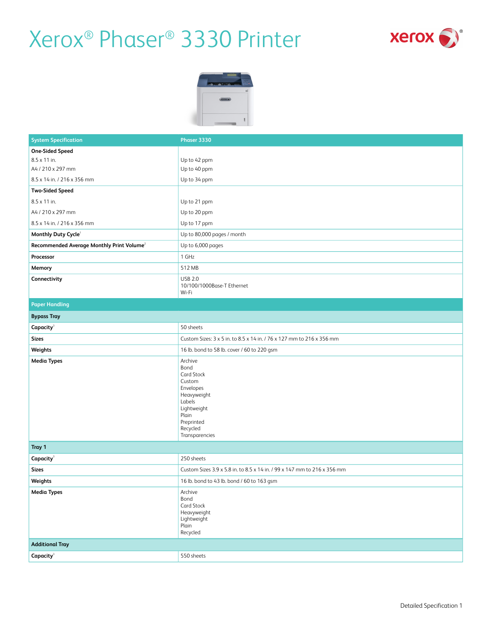



| <b>System Specification</b>                           | Phaser 3330                                                                                                                                       |  |  |
|-------------------------------------------------------|---------------------------------------------------------------------------------------------------------------------------------------------------|--|--|
| <b>One-Sided Speed</b>                                |                                                                                                                                                   |  |  |
| 8.5 x 11 in.                                          | Up to 42 ppm                                                                                                                                      |  |  |
| A4 / 210 x 297 mm                                     | Up to 40 ppm                                                                                                                                      |  |  |
| 8.5 x 14 in. / 216 x 356 mm                           | Up to 34 ppm                                                                                                                                      |  |  |
| <b>Two-Sided Speed</b>                                |                                                                                                                                                   |  |  |
| 8.5 x 11 in.                                          | Up to 21 ppm                                                                                                                                      |  |  |
| A4 / 210 x 297 mm                                     | Up to 20 ppm                                                                                                                                      |  |  |
| 8.5 x 14 in. / 216 x 356 mm                           | Up to 17 ppm                                                                                                                                      |  |  |
| Monthly Duty Cycle <sup>1</sup>                       | Up to 80,000 pages / month                                                                                                                        |  |  |
| Recommended Average Monthly Print Volume <sup>2</sup> | Up to 6,000 pages                                                                                                                                 |  |  |
| Processor                                             | 1 GHz                                                                                                                                             |  |  |
| Memory                                                | 512 MB                                                                                                                                            |  |  |
| Connectivity                                          | <b>USB 2.0</b><br>10/100/1000Base-T Ethernet<br>Wi-Fi                                                                                             |  |  |
| <b>Paper Handling</b>                                 |                                                                                                                                                   |  |  |
| <b>Bypass Tray</b>                                    |                                                                                                                                                   |  |  |
| Capacity <sup>3</sup>                                 | 50 sheets                                                                                                                                         |  |  |
| Sizes                                                 | Custom Sizes: 3 x 5 in. to 8.5 x 14 in. / 76 x 127 mm to 216 x 356 mm                                                                             |  |  |
| Weights                                               | 16 lb. bond to 58 lb. cover / 60 to 220 gsm                                                                                                       |  |  |
| <b>Media Types</b>                                    | Archive<br>Bond<br>Card Stock<br>Custom<br>Envelopes<br>Heavyweight<br>Labels<br>Lightweight<br>Plain<br>Preprinted<br>Recycled<br>Transparencies |  |  |
| Tray 1                                                |                                                                                                                                                   |  |  |
| Capacity <sup>3</sup>                                 | 250 sheets                                                                                                                                        |  |  |
| <b>Sizes</b>                                          | Custom Sizes 3.9 x 5.8 in. to 8.5 x 14 in. / 99 x 147 mm to 216 x 356 mm                                                                          |  |  |
| Weights                                               | 16 lb. bond to 43 lb. bond / 60 to 163 gsm                                                                                                        |  |  |
| <b>Media Types</b>                                    | Archive<br>Bond<br>Card Stock<br>Heavyweight<br>Lightweight<br>Plain<br>Recycled                                                                  |  |  |
| <b>Additional Tray</b>                                |                                                                                                                                                   |  |  |
| $\textsf{Capacity}^3$                                 | 550 sheets                                                                                                                                        |  |  |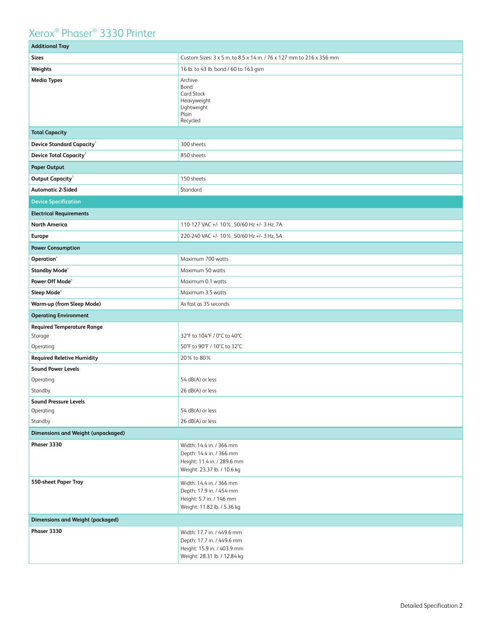| <b>Additional Tray</b>                      |                                                                                                                         |  |  |  |
|---------------------------------------------|-------------------------------------------------------------------------------------------------------------------------|--|--|--|
| <b>Sizes</b>                                | Custom Sizes: 3 x 5 in. to 8.5 x 14 in. / 76 x 127 mm to 216 x 356 mm                                                   |  |  |  |
| Weights                                     | 16 lb. to 43 lb. bond / 60 to 163 gsm                                                                                   |  |  |  |
| <b>Media Types</b>                          | Archive<br>Bond<br><b>Card Stock</b><br>Heavyweight<br>Lightweight<br>Plain<br>Recycled                                 |  |  |  |
| <b>Total Capacity</b>                       |                                                                                                                         |  |  |  |
| <b>Device Standard Capacity<sup>3</sup></b> | 300 sheets                                                                                                              |  |  |  |
| <b>Device Total Capacity<sup>3</sup></b>    | 850 sheets                                                                                                              |  |  |  |
| <b>Paper Output</b>                         |                                                                                                                         |  |  |  |
| Output Capacity <sup>3</sup>                | 150 sheets                                                                                                              |  |  |  |
| <b>Automatic 2-Sided</b>                    | Standard                                                                                                                |  |  |  |
| <b>Device Specification</b>                 |                                                                                                                         |  |  |  |
| <b>Electrical Requirements</b>              |                                                                                                                         |  |  |  |
| <b>North America</b>                        | 110-127 VAC +/- 10%, 50/60 Hz +/- 3 Hz, 7A                                                                              |  |  |  |
| <b>Europe</b>                               | 220-240 VAC +/- 10%, 50/60 Hz +/- 3 Hz, 5A                                                                              |  |  |  |
| <b>Power Consumption</b>                    |                                                                                                                         |  |  |  |
| Operation <sup>4</sup>                      | Maximum 700 watts                                                                                                       |  |  |  |
| <b>Standby Mode</b> <sup>4</sup>            | Maximum 50 watts                                                                                                        |  |  |  |
| Power Off Mode <sup>4</sup>                 | Maximum 0.1 watts                                                                                                       |  |  |  |
| Sleep Mode <sup>4</sup>                     | Maximum 3.5 watts                                                                                                       |  |  |  |
| Warm-up (from Sleep Mode)                   | As fast as 35 seconds                                                                                                   |  |  |  |
| <b>Operating Environment</b>                |                                                                                                                         |  |  |  |
| <b>Required Temperature Range</b>           |                                                                                                                         |  |  |  |
| Storage                                     | 32°F to 104°F / 0°C to 40°C                                                                                             |  |  |  |
| Operating                                   | 50°F to 90°F / 10°C to 32°C                                                                                             |  |  |  |
| <b>Required Reletive Humidity</b>           | 20% to 80%                                                                                                              |  |  |  |
| <b>Sound Power Levels</b>                   |                                                                                                                         |  |  |  |
| Operating                                   | 54 dB(A) or less<br>26 dB(A) or less                                                                                    |  |  |  |
| Standby<br><b>Sound Pressure Levels</b>     |                                                                                                                         |  |  |  |
| Operating                                   | 54 dB(A) or less                                                                                                        |  |  |  |
| Standby                                     | 26 dB(A) or less                                                                                                        |  |  |  |
| <b>Dimensions and Weight (unpackaged)</b>   |                                                                                                                         |  |  |  |
| Phaser 3330                                 | Width: 14.4 in. / 366 mm<br>Depth: 14.4 in. / 366 mm<br>Height: 11.4 in. / 289.6 mm<br>Weight: 23.37 lb. / 10.6 kg      |  |  |  |
| 550-sheet Paper Tray                        | Width: 14.4 in. / 366 mm<br>Depth: 17.9 in. / 454 mm<br>Height: 5.7 in. / 146 mm<br>Weight: 11.82 lb. / 5.36 kg         |  |  |  |
| <b>Dimensions and Weight (packaged)</b>     |                                                                                                                         |  |  |  |
| Phaser 3330                                 | Width: 17.7 in. / 449.6 mm<br>Depth: 17.7 in. / 449.6 mm<br>Height: 15.9 in. / 403.9 mm<br>Weight: 28.31 lb. / 12.84 kg |  |  |  |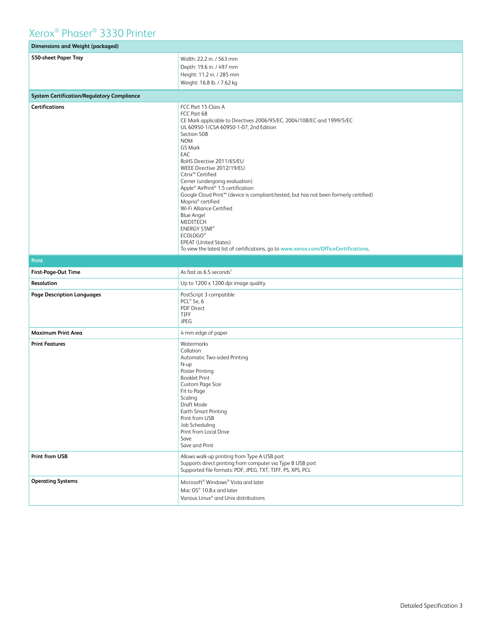| <b>Dimensions and Weight (packaged)</b>           |                                                                                                                                                                                                                                                                                                                                                                                                                                                                                                                                                                                                                                                                                                                                        |  |  |  |
|---------------------------------------------------|----------------------------------------------------------------------------------------------------------------------------------------------------------------------------------------------------------------------------------------------------------------------------------------------------------------------------------------------------------------------------------------------------------------------------------------------------------------------------------------------------------------------------------------------------------------------------------------------------------------------------------------------------------------------------------------------------------------------------------------|--|--|--|
| 550-sheet Paper Tray                              | Width: 22.2 in. / 563 mm<br>Depth: 19.6 in. / 497 mm<br>Height: 11.2 in. / 285 mm<br>Weight: 16.8 lb. / 7.62 kg                                                                                                                                                                                                                                                                                                                                                                                                                                                                                                                                                                                                                        |  |  |  |
| <b>System Certification/Regulatory Compliance</b> |                                                                                                                                                                                                                                                                                                                                                                                                                                                                                                                                                                                                                                                                                                                                        |  |  |  |
| <b>Certifications</b>                             | FCC Part 15 Class A<br>FCC Part 68<br>CE Mark applicable to Directives 2006/95/EC, 2004/108/EC and 1999/5/EC<br>UL 60950-1/CSA 60950-1-07, 2nd Edition<br>Section 508<br><b>NOM</b><br>GS Mark<br>EAC<br>RoHS Directive 2011/65/EU<br>WEEE Directive 2012/19/EU<br>Citrix <sup>™</sup> Certified<br>Cerner (undergoing evaluation)<br>Apple® AirPrint® 1.5 certification<br>Google Cloud Print™ (device is compliant/tested, but has not been formerly certified)<br>Mopria <sup>®</sup> certified<br>Wi-Fi Alliance Certified<br><b>Blue Angel</b><br>MEDITECH<br><b>ENERGY STAR®</b><br>ECOLOGO <sup>®</sup><br><b>EPEAT (United States)</b><br>To view the latest list of certifications, go to www.xerox.com/OfficeCertifications. |  |  |  |
| <b>Print</b>                                      |                                                                                                                                                                                                                                                                                                                                                                                                                                                                                                                                                                                                                                                                                                                                        |  |  |  |
| First-Page-Out Time                               | As fast as 6.5 seconds <sup>5</sup>                                                                                                                                                                                                                                                                                                                                                                                                                                                                                                                                                                                                                                                                                                    |  |  |  |
| Resolution                                        | Up to 1200 x 1200 dpi image quality                                                                                                                                                                                                                                                                                                                                                                                                                                                                                                                                                                                                                                                                                                    |  |  |  |
| <b>Page Description Languages</b>                 | PostScript 3 compatible<br>PCL® 5e, 6<br><b>PDF Direct</b><br>TIFF<br><b>JPEG</b>                                                                                                                                                                                                                                                                                                                                                                                                                                                                                                                                                                                                                                                      |  |  |  |
| <b>Maximum Print Area</b>                         | 4 mm edge of paper                                                                                                                                                                                                                                                                                                                                                                                                                                                                                                                                                                                                                                                                                                                     |  |  |  |
| <b>Print Features</b>                             | Watermarks<br>Collation<br>Automatic Two-sided Printing<br>N-up<br>Poster Printing<br><b>Booklet Print</b><br><b>Custom Page Size</b><br>Fit to Page<br>Scaling<br>Draft Mode<br><b>Earth Smart Printing</b><br>Print from USB<br>Job Scheduling<br>Print from Local Drive<br>Save<br>Save and Print                                                                                                                                                                                                                                                                                                                                                                                                                                   |  |  |  |
| <b>Print from USB</b>                             | Allows walk-up printing from Type A USB port<br>Supports direct printing from computer via Type B USB port<br>Supported file formats: PDF, JPEG, TXT, TIFF, PS, XPS, PCL                                                                                                                                                                                                                                                                                                                                                                                                                                                                                                                                                               |  |  |  |
| <b>Operating Systems</b>                          | Microsoft <sup>®</sup> Windows <sup>®</sup> Vista and later<br>Mac OS® 10.8.x and later<br>Various Linux® and Unix distributions                                                                                                                                                                                                                                                                                                                                                                                                                                                                                                                                                                                                       |  |  |  |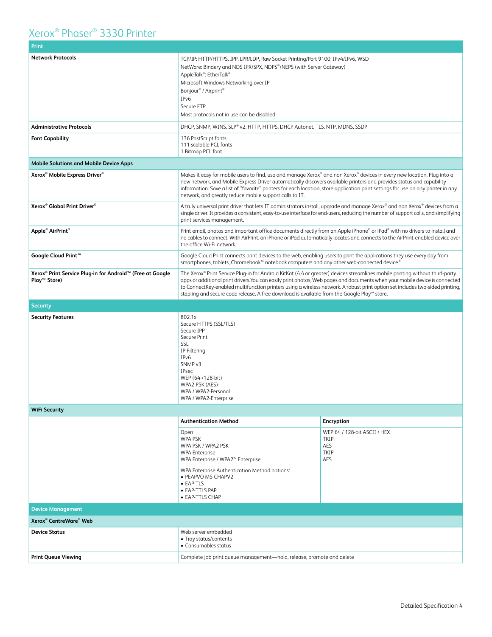| Print                                                                                             |                                                                                                                                                                                                                                                                                                                                                                                                                                                                                             |                                                                          |  |
|---------------------------------------------------------------------------------------------------|---------------------------------------------------------------------------------------------------------------------------------------------------------------------------------------------------------------------------------------------------------------------------------------------------------------------------------------------------------------------------------------------------------------------------------------------------------------------------------------------|--------------------------------------------------------------------------|--|
| <b>Network Protocols</b>                                                                          | TCP/IP: HTTP/HTTPS, IPP, LPR/LDP, Raw Socket Printing/Port 9100, IPv4/IPv6, WSD<br>NetWare: Bindery and NDS IPX/SPX, NDPS®/NEPS (with Server Gateway)<br>AppleTalk <sup>®</sup> : EtherTalk®<br>Microsoft Windows Networking over IP<br>Bonjour <sup>®</sup> / Airprint <sup>®</sup><br>IPv6<br>Secure FTP<br>Most protocols not in use can be disabled                                                                                                                                     |                                                                          |  |
| <b>Administrative Protocols</b>                                                                   | DHCP, SNMP, WINS, SLP® v2, HTTP, HTTPS, DHCP Autonet, TLS, NTP, MDNS, SSDP                                                                                                                                                                                                                                                                                                                                                                                                                  |                                                                          |  |
| <b>Font Capability</b>                                                                            | 136 PostScript fonts<br>111 scalable PCL fonts<br>1 Bitmap PCL font                                                                                                                                                                                                                                                                                                                                                                                                                         |                                                                          |  |
| <b>Mobile Solutions and Mobile Device Apps</b>                                                    |                                                                                                                                                                                                                                                                                                                                                                                                                                                                                             |                                                                          |  |
| Xerox <sup>®</sup> Mobile Express Driver <sup>®</sup>                                             | Makes it easy for mobile users to find, use and manage Xerox® and non Xerox® devices in every new location. Plug into a<br>new network, and Mobile Express Driver automatically discovers available printers and provides status and capability<br>information. Save a list of "favorite" printers for each location, store application print settings for use on any printer in any<br>network, and greatly reduce mobile support calls to IT.                                             |                                                                          |  |
| Xerox <sup>®</sup> Global Print Driver <sup>®</sup>                                               | A truly universal print driver that lets IT administrators install, upgrade and manage Xerox® and non Xerox® devices from a<br>single driver. It provides a consistent, easy-to-use interface for end-users, reducing the number of support calls, and simplifying<br>print services management.                                                                                                                                                                                            |                                                                          |  |
| Apple <sup>®</sup> AirPrint <sup>®</sup>                                                          | Print email, photos and important office documents directly from an Apple iPhone® or iPad® with no drivers to install and<br>no cables to connect. With AirPrint, an iPhone or iPad automatically locates and connects to the AirPrint-enabled device over<br>the office Wi-Fi network.                                                                                                                                                                                                     |                                                                          |  |
| Google Cloud Print™                                                                               | Google Cloud Print connects print devices to the web, enabling users to print the applications they use every day from<br>smartphones, tablets, Chromebook™ notebook computers and any other web-connected device. <sup>6</sup>                                                                                                                                                                                                                                                             |                                                                          |  |
| Xerox <sup>®</sup> Print Service Plug-in for Android™ (Free at Google<br>Play <sup>™</sup> Store) | The Xerox® Print Service Plug-in for Android KitKat (4.4 or greater) devices streamlines mobile printing without third-party<br>apps or additional print drivers. You can easily print photos, Web pages and documents when your mobile device is connected<br>to ConnectKey-enabled multifunction printers using a wireless network. A robust print option set includes two-sided printing,<br>stapling and secure code release. A free download is available from the Google Play™ store. |                                                                          |  |
|                                                                                                   |                                                                                                                                                                                                                                                                                                                                                                                                                                                                                             |                                                                          |  |
|                                                                                                   |                                                                                                                                                                                                                                                                                                                                                                                                                                                                                             |                                                                          |  |
| <b>Security</b><br><b>Security Features</b>                                                       | 802.1x<br>Secure HTTPS (SSL/TLS)<br>Secure IPP<br>Secure Print<br>SSL<br>IP Filtering<br>IPv6<br>SNMP <sub>v3</sub><br><b>IPsec</b><br>WEP (64-/128-bit)<br>WPA2-PSK (AES)<br>WPA / WPA2-Personal<br>WPA / WPA2-Enterprise                                                                                                                                                                                                                                                                  |                                                                          |  |
| <b>WiFi Security</b>                                                                              |                                                                                                                                                                                                                                                                                                                                                                                                                                                                                             |                                                                          |  |
|                                                                                                   | <b>Authentication Method</b>                                                                                                                                                                                                                                                                                                                                                                                                                                                                | Encryption                                                               |  |
|                                                                                                   | Open<br>WPA PSK<br>WPA PSK / WPA2 PSK<br><b>WPA Enterprise</b><br>WPA Enterprise / WPA2™ Enterprise<br>WPA Enterprise Authentication Method options:<br>· PEAPVO MS-CHAPV2<br>$\bullet$ EAP-TLS<br>• EAP-TTLS PAP<br>• EAP-TTLS CHAP                                                                                                                                                                                                                                                        | WEP 64 / 128-bit ASCII / HEX<br><b>TKIP</b><br>AES<br><b>TKIP</b><br>AES |  |
| <b>Device Management</b>                                                                          |                                                                                                                                                                                                                                                                                                                                                                                                                                                                                             |                                                                          |  |
| Xerox <sup>®</sup> CentreWare <sup>®</sup> Web                                                    |                                                                                                                                                                                                                                                                                                                                                                                                                                                                                             |                                                                          |  |
| <b>Device Status</b>                                                                              | Web server embedded<br>• Tray status/contents<br>• Consumables status                                                                                                                                                                                                                                                                                                                                                                                                                       |                                                                          |  |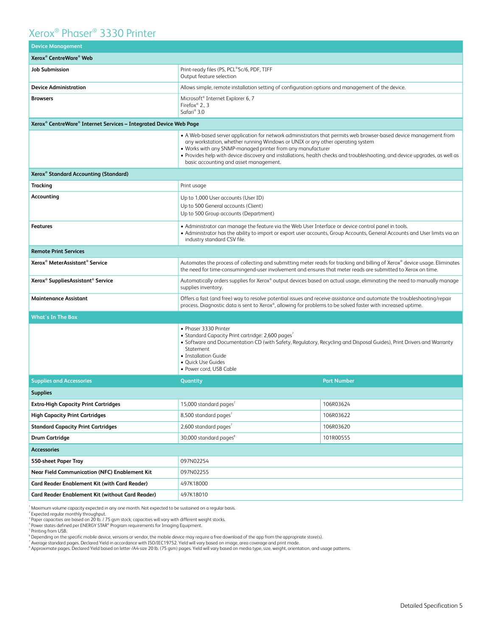| <b>Device Management</b>                                                                  |                                                                                                                                                                                                                                                                                                                                                                                                                                             |                    |  |  |
|-------------------------------------------------------------------------------------------|---------------------------------------------------------------------------------------------------------------------------------------------------------------------------------------------------------------------------------------------------------------------------------------------------------------------------------------------------------------------------------------------------------------------------------------------|--------------------|--|--|
| Xerox® CentreWare® Web                                                                    |                                                                                                                                                                                                                                                                                                                                                                                                                                             |                    |  |  |
| <b>Job Submission</b>                                                                     | Print-ready files (PS, PCL®5c/6, PDF, TIFF<br>Output feature selection                                                                                                                                                                                                                                                                                                                                                                      |                    |  |  |
| <b>Device Administration</b>                                                              | Allows simple, remote installation setting of configuration options and management of the device.                                                                                                                                                                                                                                                                                                                                           |                    |  |  |
| <b>Browsers</b>                                                                           | Microsoft <sup>®</sup> Internet Explorer 6, 7<br>Firefox® 2., 3<br>Safari® 3.0                                                                                                                                                                                                                                                                                                                                                              |                    |  |  |
| Xerox <sup>®</sup> CentreWare <sup>®</sup> Internet Services – Integrated Device Web Page |                                                                                                                                                                                                                                                                                                                                                                                                                                             |                    |  |  |
|                                                                                           | . A Web-based server application for network administrators that permits web browser-based device management from<br>any workstation, whether running Windows or UNIX or any other operating system<br>. Works with any SNMP-managed printer from any manufacturer<br>• Provides help with device discovery and installations, health checks and troubleshooting, and device upgrades, as well as<br>basic accounting and asset management. |                    |  |  |
| Xerox <sup>®</sup> Standard Accounting (Standard)                                         |                                                                                                                                                                                                                                                                                                                                                                                                                                             |                    |  |  |
| Tracking                                                                                  | Print usage                                                                                                                                                                                                                                                                                                                                                                                                                                 |                    |  |  |
| Accounting                                                                                | Up to 1,000 User accounts (User ID)<br>Up to 500 General accounts (Client)<br>Up to 500 Group accounts (Department)                                                                                                                                                                                                                                                                                                                         |                    |  |  |
| <b>Features</b>                                                                           | • Administrator can manage the feature via the Web User Interface or device control panel in tools.<br>• Administrator has the ability to import or export user accounts, Group Accounts, General Accounts and User limits via an<br>industry standard CSV file.                                                                                                                                                                            |                    |  |  |
| <b>Remote Print Services</b>                                                              |                                                                                                                                                                                                                                                                                                                                                                                                                                             |                    |  |  |
| Xerox® MeterAssistant® Service                                                            | Automates the process of collecting and submitting meter reads for tracking and billing of Xerox® device usage. Eliminates<br>the need for time-consumingend-user involvement and ensures that meter reads are submitted to Xerox on time.                                                                                                                                                                                                  |                    |  |  |
| Xerox <sup>®</sup> SuppliesAssistant® Service                                             | Automatically orders supplies for Xerox® output devices based on actual usage, eliminating the need to manually manage<br>supplies inventory.                                                                                                                                                                                                                                                                                               |                    |  |  |
| <b>Maintenance Assistant</b>                                                              | Offers a fast (and free) way to resolve potential issues and receive assistance and automate the troubleshooting/repair<br>process. Diagnostic data is sent to Xerox®, allowing for problems to be solved faster with increased uptime.                                                                                                                                                                                                     |                    |  |  |
| <b>What's In The Box</b>                                                                  |                                                                                                                                                                                                                                                                                                                                                                                                                                             |                    |  |  |
|                                                                                           | • Phaser 3330 Printer<br>• Standard Capacity Print cartridge: 2,600 pages <sup>7</sup><br>• Software and Documentation CD (with Safety, Regulatory, Recycling and Disposal Guides), Print Drivers and Warranty<br>Statement<br>• Installation Guide<br>· Quick Use Guides<br>· Power cord, USB Cable                                                                                                                                        |                    |  |  |
| <b>Supplies and Accessories</b>                                                           | Quantity                                                                                                                                                                                                                                                                                                                                                                                                                                    | <b>Part Number</b> |  |  |
| <b>Supplies</b>                                                                           |                                                                                                                                                                                                                                                                                                                                                                                                                                             |                    |  |  |
| Extra-High Capacity Print Cartridges                                                      | 15,000 standard pages'                                                                                                                                                                                                                                                                                                                                                                                                                      | 106R03624          |  |  |
| <b>High Capacity Print Cartridges</b>                                                     | 8,500 standard pages <sup>7</sup>                                                                                                                                                                                                                                                                                                                                                                                                           | 106R03622          |  |  |
| <b>Standard Capacity Print Cartridges</b>                                                 | 2,600 standard pages'                                                                                                                                                                                                                                                                                                                                                                                                                       | 106R03620          |  |  |
| <b>Drum Cartridge</b>                                                                     | 30,000 standard pages <sup>8</sup>                                                                                                                                                                                                                                                                                                                                                                                                          | 101R00555          |  |  |
| <b>Accessories</b>                                                                        |                                                                                                                                                                                                                                                                                                                                                                                                                                             |                    |  |  |
| 550-sheet Paper Tray                                                                      | 097N02254                                                                                                                                                                                                                                                                                                                                                                                                                                   |                    |  |  |
| <b>Near Field Communication (NFC) Enablement Kit</b>                                      | 097N02255                                                                                                                                                                                                                                                                                                                                                                                                                                   |                    |  |  |
| Card Reader Enablement Kit (with Card Reader)                                             | 497K18000                                                                                                                                                                                                                                                                                                                                                                                                                                   |                    |  |  |
| Card Reader Enablement Kit (without Card Reader)                                          | 497K18010                                                                                                                                                                                                                                                                                                                                                                                                                                   |                    |  |  |

<sup>1</sup> Maximum volume capacity expected in any one month. Not expected to be sustained on a regular basis.<br><sup>2</sup> Expected regular monthly throughput.<br><sup>9</sup> Poper capacities are based on 20 lb. / 75 gsm stock; capacities will vary

" Depending on the specific mobile device, versions or vendor, the mobile device may require a free download of the app from the appropriate store(s).<br>7 Average standard pages. Declared Yield in accordance with ISO/IEC1975